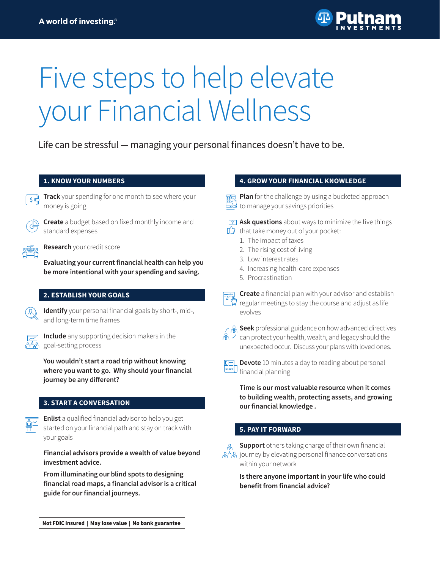

# Five steps to help elevate your Financial Wellness

Life can be stressful — managing your personal finances doesn't have to be.

#### **1. KNOW YOUR NUMBERS**



**Track** your spending for one month to see where your money is going



**Create** a budget based on fixed monthly income and standard expenses

**Research** your credit score

**Evaluating your current financial health can help you be more intentional with your spending and saving.**

#### **2. ESTABLISH YOUR GOALS**

**Identify** your personal financial goals by short-, mid-, and long-term time frames



**Include** any supporting decision makers in the goal-setting process

**You wouldn't start a road trip without knowing where you want to go. Why should your financial journey be any different?**

#### **3. START A CONVERSATION**

**Enlist** a qualified financial advisor to help you get started on your financial path and stay on track with your goals

**Financial advisors provide a wealth of value beyond investment advice.** 

**From illuminating our blind spots to designing financial road maps, a financial advisor is a critical guide for our financial journeys.**

#### Not FDIC insured | May lose value | No bank guarantee

#### **4. GROW YOUR FINANCIAL KNOWLEDGE**

**Plan** for the challenge by using a bucketed approach <del>ண</del>्णी P**ian** for the challenges by section of the same of the section of the section of the section of the sectio<br>— □ to manage your savings priorities

**Ask questions** about ways to minimize the five things  $\mathbb{L}$  that take money out of your pocket:

- 1. The impact of taxes
- 2. The rising cost of living
- 3. Low interest rates
- 4. Increasing health-care expenses
- 5. Procrastination



**Create** a financial plan with your advisor and establish regular meetings to stay the course and adjust as life evolves



**Seek** professional guidance on how advanced directives  $\hat{C}$  can protect your health, wealth, and legacy should the unexpected occur. Discuss your plans with loved ones.



**Devote** 10 minutes a day to reading about personal financial planning

**Time is our most valuable resource when it comes to building wealth, protecting assets, and growing our financial knowledge .** 

#### **5. PAY IT FORWARD**



**Support** others taking charge of their own financial  $\mathbb{R}^{\setminus}\mathbb{R}$  journey by elevating personal finance conversations within your network

> **Is there anyone important in your life who could benefit from financial advice?**